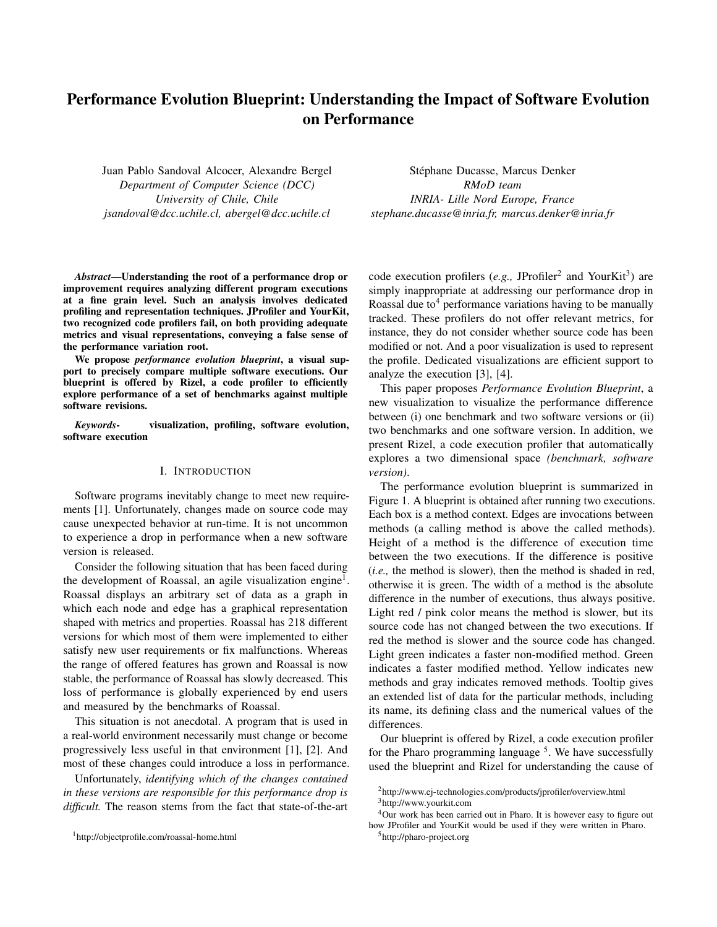# Performance Evolution Blueprint: Understanding the Impact of Software Evolution on Performance

Juan Pablo Sandoval Alcocer, Alexandre Bergel *Department of Computer Science (DCC) University of Chile, Chile jsandoval@dcc.uchile.cl, abergel@dcc.uchile.cl*

Stephane Ducasse, Marcus Denker ´ *RMoD team INRIA- Lille Nord Europe, France stephane.ducasse@inria.fr, marcus.denker@inria.fr*

*Abstract*—Understanding the root of a performance drop or improvement requires analyzing different program executions at a fine grain level. Such an analysis involves dedicated profiling and representation techniques. JProfiler and YourKit, two recognized code profilers fail, on both providing adequate metrics and visual representations, conveying a false sense of the performance variation root.

We propose *performance evolution blueprint*, a visual support to precisely compare multiple software executions. Our blueprint is offered by Rizel, a code profiler to efficiently explore performance of a set of benchmarks against multiple software revisions.

*Keywords*- visualization, profiling, software evolution, software execution

## I. INTRODUCTION

Software programs inevitably change to meet new requirements [\[1\]](#page-8-0). Unfortunately, changes made on source code may cause unexpected behavior at run-time. It is not uncommon to experience a drop in performance when a new software version is released.

Consider the following situation that has been faced during the development of Roassal, an agile visualization engine<sup>[1](#page-0-0)</sup>. Roassal displays an arbitrary set of data as a graph in which each node and edge has a graphical representation shaped with metrics and properties. Roassal has 218 different versions for which most of them were implemented to either satisfy new user requirements or fix malfunctions. Whereas the range of offered features has grown and Roassal is now stable, the performance of Roassal has slowly decreased. This loss of performance is globally experienced by end users and measured by the benchmarks of Roassal.

This situation is not anecdotal. A program that is used in a real-world environment necessarily must change or become progressively less useful in that environment [\[1\]](#page-8-0), [\[2\]](#page-8-1). And most of these changes could introduce a loss in performance.

Unfortunately, *identifying which of the changes contained in these versions are responsible for this performance drop is difficult.* The reason stems from the fact that state-of-the-art

code execution profilers (e.g., JProfiler<sup>[2](#page-0-1)</sup> and YourKit<sup>[3](#page-0-2)</sup>) are simply inappropriate at addressing our performance drop in Roassal due to<sup>[4](#page-0-3)</sup> performance variations having to be manually tracked. These profilers do not offer relevant metrics, for instance, they do not consider whether source code has been modified or not. And a poor visualization is used to represent the profile. Dedicated visualizations are efficient support to analyze the execution [\[3\]](#page-8-2), [\[4\]](#page-8-3).

This paper proposes *Performance Evolution Blueprint*, a new visualization to visualize the performance difference between (i) one benchmark and two software versions or (ii) two benchmarks and one software version. In addition, we present Rizel, a code execution profiler that automatically explores a two dimensional space *(benchmark, software version)*.

The performance evolution blueprint is summarized in Figure [1.](#page-1-0) A blueprint is obtained after running two executions. Each box is a method context. Edges are invocations between methods (a calling method is above the called methods). Height of a method is the difference of execution time between the two executions. If the difference is positive (*i.e.,* the method is slower), then the method is shaded in red, otherwise it is green. The width of a method is the absolute difference in the number of executions, thus always positive. Light red / pink color means the method is slower, but its source code has not changed between the two executions. If red the method is slower and the source code has changed. Light green indicates a faster non-modified method. Green indicates a faster modified method. Yellow indicates new methods and gray indicates removed methods. Tooltip gives an extended list of data for the particular methods, including its name, its defining class and the numerical values of the differences.

Our blueprint is offered by Rizel, a code execution profiler for the Pharo programming language<sup>[5](#page-0-4)</sup>. We have successfully used the blueprint and Rizel for understanding the cause of

<span id="page-0-0"></span><sup>1</sup><http://objectprofile.com/roassal-home.html>

<span id="page-0-2"></span><span id="page-0-1"></span><sup>2</sup><http://www.ej-technologies.com/products/jprofiler/overview.html> <sup>3</sup><http://www.yourkit.com>

<span id="page-0-3"></span><sup>4</sup>Our work has been carried out in Pharo. It is however easy to figure out how JProfiler and YourKit would be used if they were written in Pharo.

<span id="page-0-4"></span><sup>5</sup>http://pharo-project.org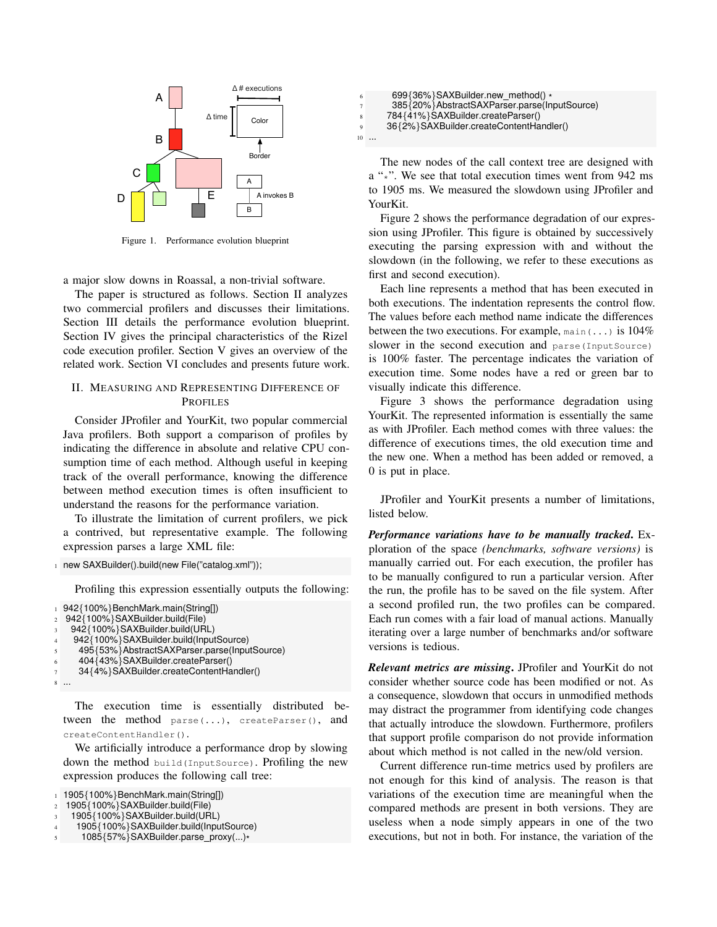<span id="page-1-0"></span>

Figure 1. Performance evolution blueprint

a major slow downs in Roassal, a non-trivial software.

The paper is structured as follows. Section [II](#page-1-1) analyzes two commercial profilers and discusses their limitations. Section [III](#page-2-0) details the performance evolution blueprint. Section [IV](#page-4-0) gives the principal characteristics of the Rizel code execution profiler. Section [V](#page-5-0) gives an overview of the related work. Section [VI](#page-7-0) concludes and presents future work.

# <span id="page-1-1"></span>II. MEASURING AND REPRESENTING DIFFERENCE OF PROFILES

Consider JProfiler and YourKit, two popular commercial Java profilers. Both support a comparison of profiles by indicating the difference in absolute and relative CPU consumption time of each method. Although useful in keeping track of the overall performance, knowing the difference between method execution times is often insufficient to understand the reasons for the performance variation.

To illustrate the limitation of current profilers, we pick a contrived, but representative example. The following expression parses a large XML file:

<sup>1</sup> new SAXBuilder().build(new File("catalog.xml"));

Profiling this expression essentially outputs the following:

```
1 942{100%}BenchMark.main(String[])
2 \overline{942}{100%}SAXBuilder.build(File)
   3 942{100%}SAXBuilder.build(URL)
    4 942{100%}SAXBuilder.build(InputSource)
      5 495{53%}AbstractSAXParser.parse(InputSource)
      6 404{43%}SAXBuilder.createParser()
      7 34{4%}SAXBuilder.createContentHandler()
8 ...
```
The execution time is essentially distributed between the method parse(...), createParser(), and createContentHandler().

We artificially introduce a performance drop by slowing down the method build(InputSource). Profiling the new expression produces the following call tree:

<sup>1</sup> 1905{100%}BenchMark.main(String[])

 $2 \quad 1905$ {100%}SAXBuilder.build(File)

<sup>4</sup> 1905{100%}SAXBuilder.build(InputSource)

```
5 1085{57%}SAXBuilder.parse_proxy(...)*
```

```
6 699{36%}SAXBuilder.new method()
*
      7 385{20%}AbstractSAXParser.parse(InputSource)
8 784{41%}SAXBuilder.createParser()
9 36{2%}SAXBuilder.createContentHandler()
```
 $10 ...$ 

The new nodes of the call context tree are designed with a "\*". We see that total execution times went from 942 ms to 1905 ms. We measured the slowdown using JProfiler and YourKit.

Figure [2](#page-2-1) shows the performance degradation of our expression using JProfiler. This figure is obtained by successively executing the parsing expression with and without the slowdown (in the following, we refer to these executions as first and second execution).

Each line represents a method that has been executed in both executions. The indentation represents the control flow. The values before each method name indicate the differences between the two executions. For example,  $\text{main}(...)$  is 104% slower in the second execution and parse(InputSource) is 100% faster. The percentage indicates the variation of execution time. Some nodes have a red or green bar to visually indicate this difference.

Figure [3](#page-2-2) shows the performance degradation using YourKit. The represented information is essentially the same as with JProfiler. Each method comes with three values: the difference of executions times, the old execution time and the new one. When a method has been added or removed, a 0 is put in place.

JProfiler and YourKit presents a number of limitations, listed below.

*Performance variations have to be manually tracked*. Exploration of the space *(benchmarks, software versions)* is manually carried out. For each execution, the profiler has to be manually configured to run a particular version. After the run, the profile has to be saved on the file system. After a second profiled run, the two profiles can be compared. Each run comes with a fair load of manual actions. Manually iterating over a large number of benchmarks and/or software versions is tedious.

*Relevant metrics are missing*. JProfiler and YourKit do not consider whether source code has been modified or not. As a consequence, slowdown that occurs in unmodified methods may distract the programmer from identifying code changes that actually introduce the slowdown. Furthermore, profilers that support profile comparison do not provide information about which method is not called in the new/old version.

Current difference run-time metrics used by profilers are not enough for this kind of analysis. The reason is that variations of the execution time are meaningful when the compared methods are present in both versions. They are useless when a node simply appears in one of the two executions, but not in both. For instance, the variation of the

<sup>3</sup> 1905{100%}SAXBuilder.build(URL)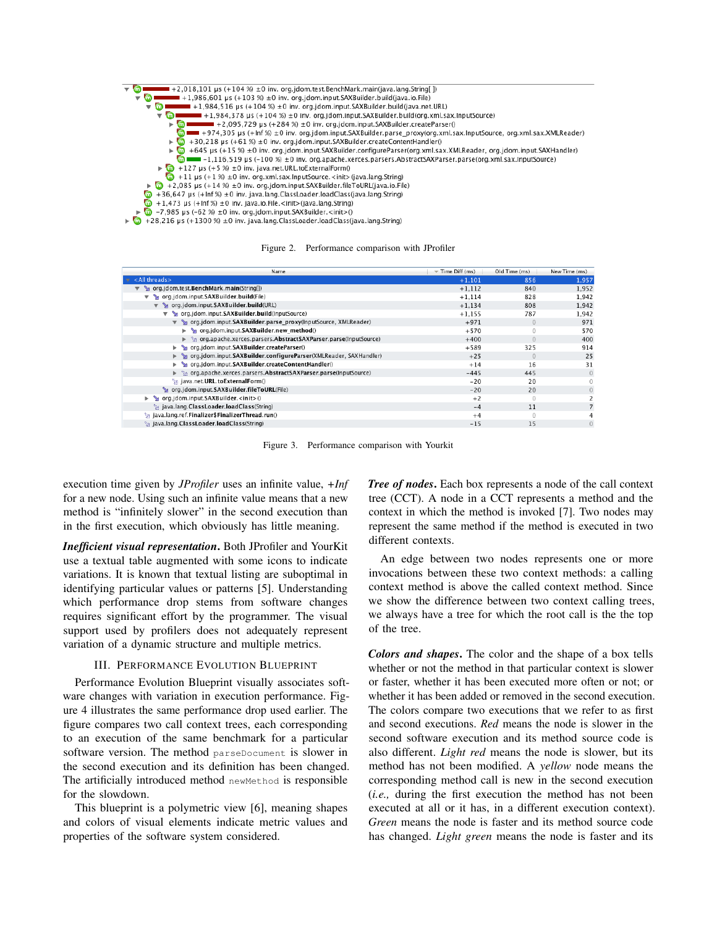<span id="page-2-1"></span>

Figure 2. Performance comparison with JProfiler

<span id="page-2-2"></span>

| Name                                                                | $\blacktriangledown$ Time Diff (ms) | Old Time (ms) | New Time (ms)  |
|---------------------------------------------------------------------|-------------------------------------|---------------|----------------|
| $\blacktriangledown$ < All threads>                                 | $+1.101$                            | 856           | 1,957          |
| $\triangledown$ org.jdom.test.BenchMark.main(String[])              | $+1.112$                            | 840           | 1,952          |
| ▼ Sy org.jdom.input.SAXBuilder.build(File)                          | $+1,114$                            | 828           | 1,942          |
| ▼ Sq org.jdom.input.SAXBuilder.build(URL)                           | $+1,134$                            | 808           | 1,942          |
| ▼ Sy org.jdom.input.SAXBuilder.build(InputSource)                   | $+1,155$                            | 787           | 1,942          |
| ▼ org.jdom.input.SAXBuilder.parse_proxy(InputSource, XMLReader)     | $+971$                              | $\Omega$      | 971            |
| ▶ Sy org.jdom.input.SAXBuilder.new_method()                         | $+570$                              |               | 570            |
| ▶ ‰ org.apache.xerces.parsers.AbstractSAXParser.parse(InputSource)  | $+400$                              | $\Omega$      | 400            |
| ▶ Solidom.input.SAXBuilder.createParser()                           | $+589$                              | 325           | 914            |
| org.jdom.input.SAXBuilder.configureParser(XMLReader, SAXHandler)    | $+25$                               | $\Omega$      | 25             |
| org.jdom.input.SAXBuilder.createContentHandler()                    | $+14$                               | 16            | 31             |
| ▶ Se org.apache.xerces.parsers.AbstractSAXParser.parse(InputSource) | $-445$                              | 445           | $\circ$        |
| java.net.URL.toExternalForm()                                       | $-20$                               | 20            | O              |
| org.jdom.input.SAXBuilder.fileToURL(File)                           | $-20$                               | 20            | $\Omega$       |
| $\triangleright$ org.jdom.input.SAXBuilder. <init>()</init>         | $+2$                                |               |                |
| sa java.lang.ClassLoader.loadClass(String)                          | $-4$                                | 11            |                |
| java.lang.ref.Finalizer\$FinalizerThread.run()                      | $+4$                                | 0             | 4              |
| java.lang.ClassLoader.loadClass(String)                             | $-15$                               | 15            | $\overline{0}$ |

Figure 3. Performance comparison with Yourkit

execution time given by *JProfiler* uses an infinite value, *+Inf* for a new node. Using such an infinite value means that a new method is "infinitely slower" in the second execution than in the first execution, which obviously has little meaning.

*Inefficient visual representation*. Both JProfiler and YourKit use a textual table augmented with some icons to indicate variations. It is known that textual listing are suboptimal in identifying particular values or patterns [\[5\]](#page-8-4). Understanding which performance drop stems from software changes requires significant effort by the programmer. The visual support used by profilers does not adequately represent variation of a dynamic structure and multiple metrics.

#### III. PERFORMANCE EVOLUTION BLUEPRINT

<span id="page-2-0"></span>Performance Evolution Blueprint visually associates software changes with variation in execution performance. Figure [4](#page-3-0) illustrates the same performance drop used earlier. The figure compares two call context trees, each corresponding to an execution of the same benchmark for a particular software version. The method parseDocument is slower in the second execution and its definition has been changed. The artificially introduced method newMethod is responsible for the slowdown.

This blueprint is a polymetric view [\[6\]](#page-8-5), meaning shapes and colors of visual elements indicate metric values and properties of the software system considered.

*Tree of nodes*. Each box represents a node of the call context tree (CCT). A node in a CCT represents a method and the context in which the method is invoked [\[7\]](#page-8-6). Two nodes may represent the same method if the method is executed in two different contexts.

An edge between two nodes represents one or more invocations between these two context methods: a calling context method is above the called context method. Since we show the difference between two context calling trees, we always have a tree for which the root call is the the top of the tree.

*Colors and shapes*. The color and the shape of a box tells whether or not the method in that particular context is slower or faster, whether it has been executed more often or not; or whether it has been added or removed in the second execution. The colors compare two executions that we refer to as first and second executions. *Red* means the node is slower in the second software execution and its method source code is also different. *Light red* means the node is slower, but its method has not been modified. A *yellow* node means the corresponding method call is new in the second execution (*i.e.,* during the first execution the method has not been executed at all or it has, in a different execution context). *Green* means the node is faster and its method source code has changed. *Light green* means the node is faster and its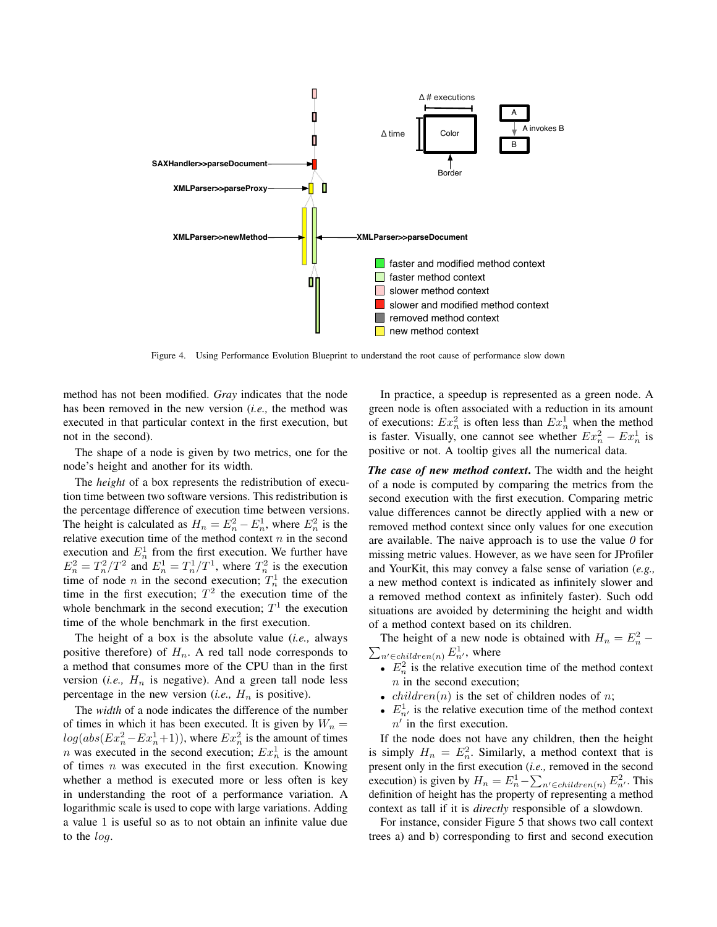<span id="page-3-0"></span>

Figure 4. Using Performance Evolution Blueprint to understand the root cause of performance slow down

method has not been modified. *Gray* indicates that the node has been removed in the new version (*i.e.,* the method was executed in that particular context in the first execution, but not in the second).

The shape of a node is given by two metrics, one for the node's height and another for its width.

The *height* of a box represents the redistribution of execution time between two software versions. This redistribution is the percentage difference of execution time between versions. The height is calculated as  $H_n = E_n^2 - E_n^1$ , where  $E_n^2$  is the relative execution time of the method context  $n$  in the second execution and  $E_n^1$  from the first execution. We further have  $E_n^2 = T_n^2/T^2$  and  $E_n^1 = T_n^1/T^1$ , where  $T_n^2$  is the execution time of node *n* in the second execution;  $T_n^1$  the execution time in the first execution;  $T^2$  the execution time of the whole benchmark in the second execution;  $T<sup>1</sup>$  the execution time of the whole benchmark in the first execution.

The height of a box is the absolute value (*i.e.,* always positive therefore) of  $H_n$ . A red tall node corresponds to a method that consumes more of the CPU than in the first version (*i.e.*,  $H_n$  is negative). And a green tall node less percentage in the new version (*i.e.*,  $H_n$  is positive).

The *width* of a node indicates the difference of the number of times in which it has been executed. It is given by  $W_n =$  $log(abs(Ex_n^2 - Ex_n^1 + 1))$ , where  $Ex_n^2$  is the amount of times *n* was executed in the second execution;  $Ex_n^1$  is the amount of times  $n$  was executed in the first execution. Knowing whether a method is executed more or less often is key in understanding the root of a performance variation. A logarithmic scale is used to cope with large variations. Adding a value 1 is useful so as to not obtain an infinite value due to the log.

In practice, a speedup is represented as a green node. A green node is often associated with a reduction in its amount of executions:  $Ex_n^2$  is often less than  $Ex_n^1$  when the method is faster. Visually, one cannot see whether  $Ex_n^2 - Ex_n^1$  is positive or not. A tooltip gives all the numerical data.

*The case of new method context*. The width and the height of a node is computed by comparing the metrics from the second execution with the first execution. Comparing metric value differences cannot be directly applied with a new or removed method context since only values for one execution are available. The naive approach is to use the value *0* for missing metric values. However, as we have seen for JProfiler and YourKit, this may convey a false sense of variation (*e.g.,* a new method context is indicated as infinitely slower and a removed method context as infinitely faster). Such odd situations are avoided by determining the height and width of a method context based on its children.

The height of a new node is obtained with  $H_n = E_n^2 - \sum_{n' \in children(n)} E_n^1$ , where  $n' \in children(n)$   $E^1_{n'}$ , where

- $E_n^2$  is the relative execution time of the method context  $n$  in the second execution;
- *children(n)* is the set of children nodes of *n*;
- $E_{n'}^1$  is the relative execution time of the method context  $n'$  in the first execution.

If the node does not have any children, then the height is simply  $H_n = E_n^2$ . Similarly, a method context that is present only in the first execution (*i.e.,* removed in the second execution) is given by  $H_n = E_n^1 - \sum_{n' \in children(n)} E_n^2$ . This definition of height has the property of representing a method context as tall if it is *directly* responsible of a slowdown.

For instance, consider Figure [5](#page-4-1) that shows two call context trees a) and b) corresponding to first and second execution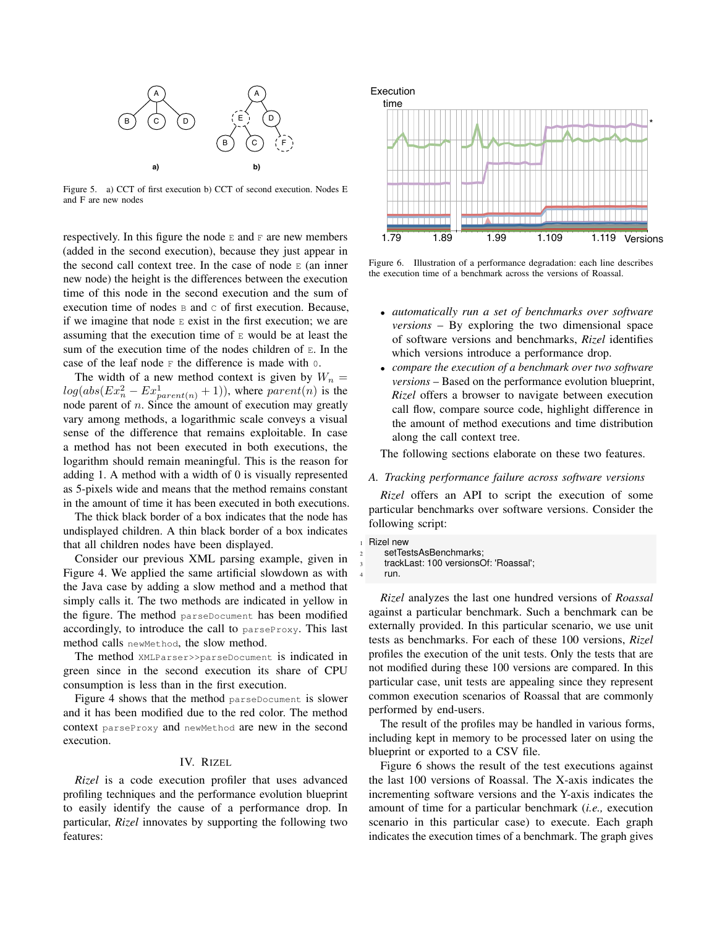<span id="page-4-1"></span>

Figure 5. a) CCT of first execution b) CCT of second execution. Nodes E and F are new nodes

respectively. In this figure the node  $E$  and  $F$  are new members (added in the second execution), because they just appear in the second call context tree. In the case of node  $E$  (an inner new node) the height is the differences between the execution time of this node in the second execution and the sum of execution time of nodes  $B$  and  $C$  of first execution. Because, if we imagine that node  $E$  exist in the first execution; we are assuming that the execution time of  $E$  would be at least the sum of the execution time of the nodes children of E. In the case of the leaf node  $F$  the difference is made with  $0$ .

The width of a new method context is given by  $W_n =$  $log(abs(Ex_n^2 - Ex_{parent(n)}^1 + 1))$ , where  $parent(n)$  is the node parent of  $n$ . Since the amount of execution may greatly vary among methods, a logarithmic scale conveys a visual sense of the difference that remains exploitable. In case a method has not been executed in both executions, the logarithm should remain meaningful. This is the reason for adding 1. A method with a width of 0 is visually represented as 5-pixels wide and means that the method remains constant in the amount of time it has been executed in both executions.

The thick black border of a box indicates that the node has undisplayed children. A thin black border of a box indicates that all children nodes have been displayed.

Consider our previous XML parsing example, given in Figure [4.](#page-3-0) We applied the same artificial slowdown as with the Java case by adding a slow method and a method that simply calls it. The two methods are indicated in yellow in the figure. The method parseDocument has been modified accordingly, to introduce the call to parseProxy. This last method calls newMethod, the slow method.

The method XMLParser>>parseDocument is indicated in green since in the second execution its share of CPU consumption is less than in the first execution.

Figure [4](#page-3-0) shows that the method parseDocument is slower and it has been modified due to the red color. The method context parseProxy and newMethod are new in the second execution.

#### IV. RIZEL

<span id="page-4-0"></span>*Rizel* is a code execution profiler that uses advanced profiling techniques and the performance evolution blueprint to easily identify the cause of a performance drop. In particular, *Rizel* innovates by supporting the following two features:

<span id="page-4-2"></span>

Figure 6. Illustration of a performance degradation: each line describes the execution time of a benchmark across the versions of Roassal.

- *automatically run a set of benchmarks over software versions* – By exploring the two dimensional space of software versions and benchmarks, *Rizel* identifies which versions introduce a performance drop.
- *compare the execution of a benchmark over two software versions* – Based on the performance evolution blueprint, *Rizel* offers a browser to navigate between execution call flow, compare source code, highlight difference in the amount of method executions and time distribution along the call context tree.

The following sections elaborate on these two features.

### *A. Tracking performance failure across software versions*

*Rizel* offers an API to script the execution of some particular benchmarks over software versions. Consider the following script:

```
Rizel new
```
setTestsAsBenchmarks;

run.

*Rizel* analyzes the last one hundred versions of *Roassal* against a particular benchmark. Such a benchmark can be externally provided. In this particular scenario, we use unit tests as benchmarks. For each of these 100 versions, *Rizel* profiles the execution of the unit tests. Only the tests that are not modified during these 100 versions are compared. In this particular case, unit tests are appealing since they represent common execution scenarios of Roassal that are commonly performed by end-users.

The result of the profiles may be handled in various forms, including kept in memory to be processed later on using the blueprint or exported to a CSV file.

Figure [6](#page-4-2) shows the result of the test executions against the last 100 versions of Roassal. The X-axis indicates the incrementing software versions and the Y-axis indicates the amount of time for a particular benchmark (*i.e.,* execution scenario in this particular case) to execute. Each graph indicates the execution times of a benchmark. The graph gives

<sup>3</sup> trackLast: 100 versionsOf: 'Roassal';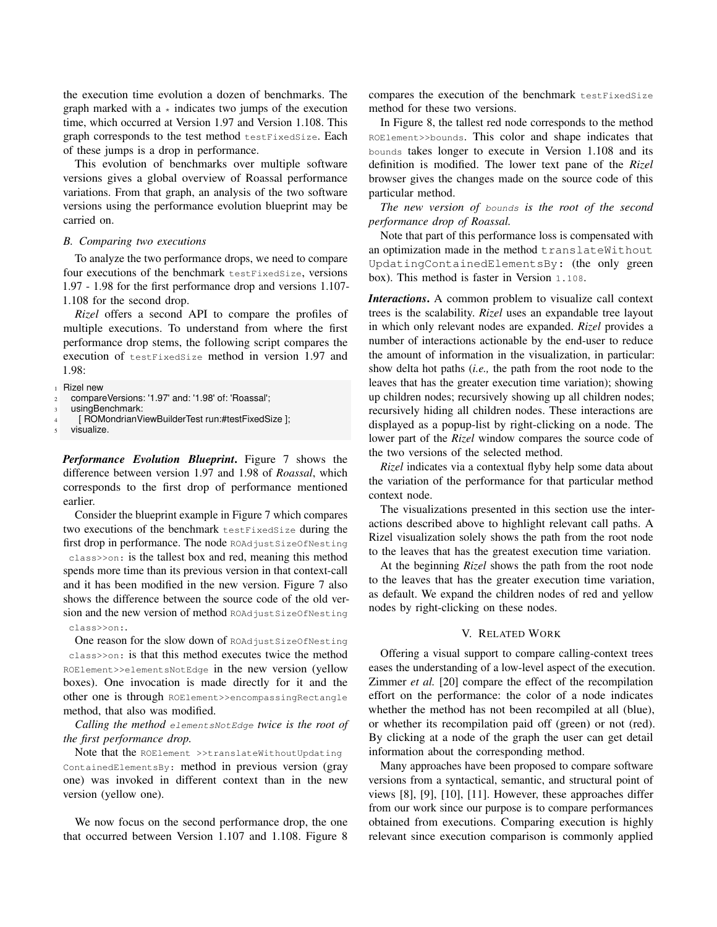the execution time evolution a dozen of benchmarks. The graph marked with a  $\star$  indicates two jumps of the execution time, which occurred at Version 1.97 and Version 1.108. This graph corresponds to the test method testFixedSize. Each of these jumps is a drop in performance.

This evolution of benchmarks over multiple software versions gives a global overview of Roassal performance variations. From that graph, an analysis of the two software versions using the performance evolution blueprint may be carried on.

# *B. Comparing two executions*

To analyze the two performance drops, we need to compare four executions of the benchmark testFixedSize, versions 1.97 - 1.98 for the first performance drop and versions 1.107- 1.108 for the second drop.

*Rizel* offers a second API to compare the profiles of multiple executions. To understand from where the first performance drop stems, the following script compares the execution of testFixedSize method in version 1.97 and 1.98:

**Rizel new** 

- <sup>2</sup> compareVersions: '1.97' and: '1.98' of: 'Roassal';
- usingBenchmark:
- <sup>4</sup> [ ROMondrianViewBuilderTest run:#testFixedSize ];

<sup>5</sup> visualize.

*Performance Evolution Blueprint*. Figure [7](#page-6-0) shows the difference between version 1.97 and 1.98 of *Roassal*, which corresponds to the first drop of performance mentioned earlier.

Consider the blueprint example in Figure [7](#page-6-0) which compares two executions of the benchmark testFixedSize during the first drop in performance. The node ROAdjustSizeOfNesting class>>on: is the tallest box and red, meaning this method spends more time than its previous version in that context-call and it has been modified in the new version. Figure [7](#page-6-0) also shows the difference between the source code of the old version and the new version of method ROAdjustSizeOfNesting class>>on:.

One reason for the slow down of ROAdjustSizeOfNesting class>>on: is that this method executes twice the method ROElement>>elementsNotEdge in the new version (yellow boxes). One invocation is made directly for it and the other one is through ROElement>>encompassingRectangle method, that also was modified.

*Calling the method* elementsNotEdge *twice is the root of the first performance drop.*

Note that the ROElement >>translateWithoutUpdating ContainedElementsBy: method in previous version (gray one) was invoked in different context than in the new version (yellow one).

We now focus on the second performance drop, the one that occurred between Version 1.107 and 1.108. Figure [8](#page-6-1) compares the execution of the benchmark testFixedSize method for these two versions.

In Figure [8,](#page-6-1) the tallest red node corresponds to the method ROElement>>bounds. This color and shape indicates that bounds takes longer to execute in Version 1.108 and its definition is modified. The lower text pane of the *Rizel* browser gives the changes made on the source code of this particular method.

*The new version of* bounds *is the root of the second performance drop of Roassal.*

Note that part of this performance loss is compensated with an optimization made in the method translateWithout UpdatingContainedElementsBy: (the only green box). This method is faster in Version 1.108.

*Interactions*. A common problem to visualize call context trees is the scalability. *Rizel* uses an expandable tree layout in which only relevant nodes are expanded. *Rizel* provides a number of interactions actionable by the end-user to reduce the amount of information in the visualization, in particular: show delta hot paths (*i.e.,* the path from the root node to the leaves that has the greater execution time variation); showing up children nodes; recursively showing up all children nodes; recursively hiding all children nodes. These interactions are displayed as a popup-list by right-clicking on a node. The lower part of the *Rizel* window compares the source code of the two versions of the selected method.

*Rizel* indicates via a contextual flyby help some data about the variation of the performance for that particular method context node.

The visualizations presented in this section use the interactions described above to highlight relevant call paths. A Rizel visualization solely shows the path from the root node to the leaves that has the greatest execution time variation.

At the beginning *Rizel* shows the path from the root node to the leaves that has the greater execution time variation, as default. We expand the children nodes of red and yellow nodes by right-clicking on these nodes.

#### V. RELATED WORK

<span id="page-5-0"></span>Offering a visual support to compare calling-context trees eases the understanding of a low-level aspect of the execution. Zimmer *et al.* [\[20\]](#page-8-7) compare the effect of the recompilation effort on the performance: the color of a node indicates whether the method has not been recompiled at all (blue), or whether its recompilation paid off (green) or not (red). By clicking at a node of the graph the user can get detail information about the corresponding method.

Many approaches have been proposed to compare software versions from a syntactical, semantic, and structural point of views [\[8\]](#page-8-8), [\[9\]](#page-8-9), [\[10\]](#page-8-10), [\[11\]](#page-8-11). However, these approaches differ from our work since our purpose is to compare performances obtained from executions. Comparing execution is highly relevant since execution comparison is commonly applied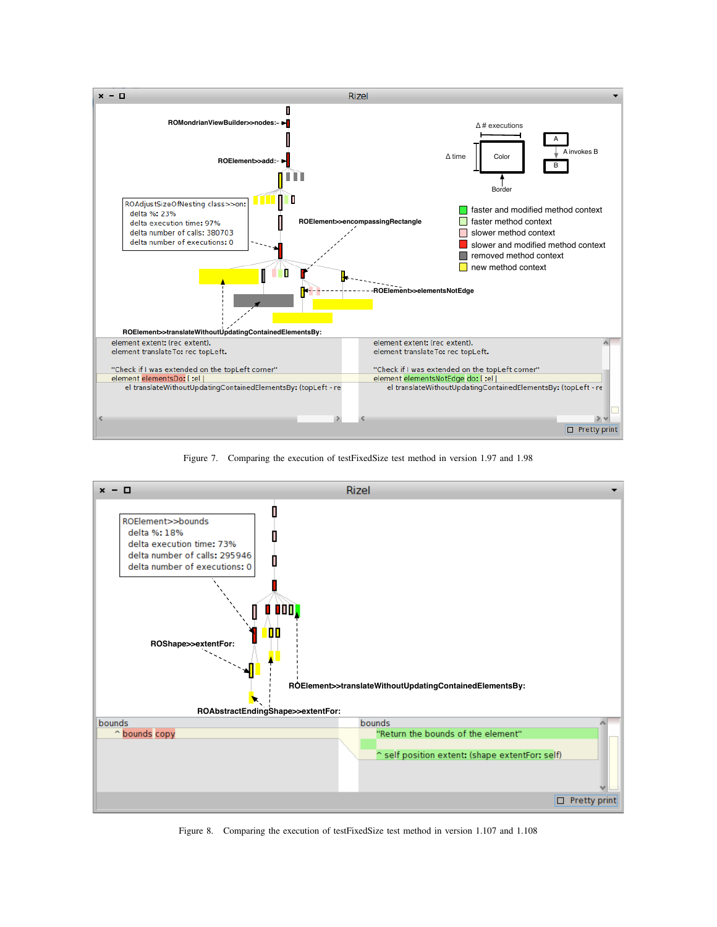<span id="page-6-0"></span>

Figure 7. Comparing the execution of testFixedSize test method in version 1.97 and 1.98

<span id="page-6-1"></span>

Figure 8. Comparing the execution of testFixedSize test method in version 1.107 and 1.108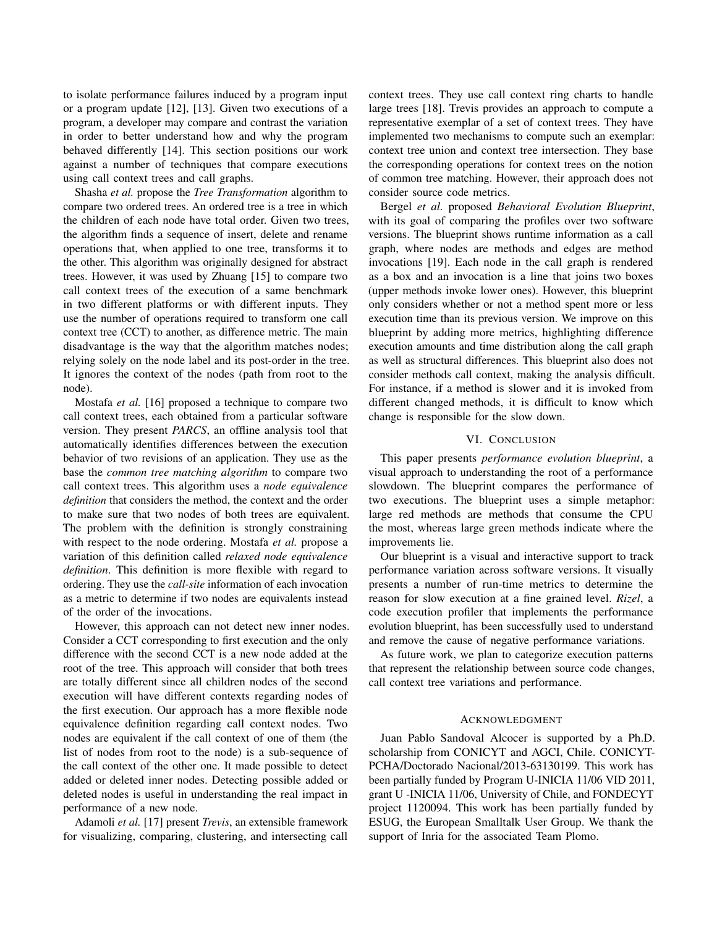to isolate performance failures induced by a program input or a program update [\[12\]](#page-8-12), [\[13\]](#page-8-13). Given two executions of a program, a developer may compare and contrast the variation in order to better understand how and why the program behaved differently [\[14\]](#page-8-14). This section positions our work against a number of techniques that compare executions using call context trees and call graphs.

Shasha *et al.* propose the *Tree Transformation* algorithm to compare two ordered trees. An ordered tree is a tree in which the children of each node have total order. Given two trees, the algorithm finds a sequence of insert, delete and rename operations that, when applied to one tree, transforms it to the other. This algorithm was originally designed for abstract trees. However, it was used by Zhuang [\[15\]](#page-8-15) to compare two call context trees of the execution of a same benchmark in two different platforms or with different inputs. They use the number of operations required to transform one call context tree (CCT) to another, as difference metric. The main disadvantage is the way that the algorithm matches nodes; relying solely on the node label and its post-order in the tree. It ignores the context of the nodes (path from root to the node).

Mostafa *et al.* [\[16\]](#page-8-16) proposed a technique to compare two call context trees, each obtained from a particular software version. They present *PARCS*, an offline analysis tool that automatically identifies differences between the execution behavior of two revisions of an application. They use as the base the *common tree matching algorithm* to compare two call context trees. This algorithm uses a *node equivalence definition* that considers the method, the context and the order to make sure that two nodes of both trees are equivalent. The problem with the definition is strongly constraining with respect to the node ordering. Mostafa *et al.* propose a variation of this definition called *relaxed node equivalence definition*. This definition is more flexible with regard to ordering. They use the *call-site* information of each invocation as a metric to determine if two nodes are equivalents instead of the order of the invocations.

However, this approach can not detect new inner nodes. Consider a CCT corresponding to first execution and the only difference with the second CCT is a new node added at the root of the tree. This approach will consider that both trees are totally different since all children nodes of the second execution will have different contexts regarding nodes of the first execution. Our approach has a more flexible node equivalence definition regarding call context nodes. Two nodes are equivalent if the call context of one of them (the list of nodes from root to the node) is a sub-sequence of the call context of the other one. It made possible to detect added or deleted inner nodes. Detecting possible added or deleted nodes is useful in understanding the real impact in performance of a new node.

Adamoli *et al.* [\[17\]](#page-8-17) present *Trevis*, an extensible framework for visualizing, comparing, clustering, and intersecting call context trees. They use call context ring charts to handle large trees [\[18\]](#page-8-18). Trevis provides an approach to compute a representative exemplar of a set of context trees. They have implemented two mechanisms to compute such an exemplar: context tree union and context tree intersection. They base the corresponding operations for context trees on the notion of common tree matching. However, their approach does not consider source code metrics.

Bergel *et al.* proposed *Behavioral Evolution Blueprint*, with its goal of comparing the profiles over two software versions. The blueprint shows runtime information as a call graph, where nodes are methods and edges are method invocations [\[19\]](#page-8-19). Each node in the call graph is rendered as a box and an invocation is a line that joins two boxes (upper methods invoke lower ones). However, this blueprint only considers whether or not a method spent more or less execution time than its previous version. We improve on this blueprint by adding more metrics, highlighting difference execution amounts and time distribution along the call graph as well as structural differences. This blueprint also does not consider methods call context, making the analysis difficult. For instance, if a method is slower and it is invoked from different changed methods, it is difficult to know which change is responsible for the slow down.

## VI. CONCLUSION

<span id="page-7-0"></span>This paper presents *performance evolution blueprint*, a visual approach to understanding the root of a performance slowdown. The blueprint compares the performance of two executions. The blueprint uses a simple metaphor: large red methods are methods that consume the CPU the most, whereas large green methods indicate where the improvements lie.

Our blueprint is a visual and interactive support to track performance variation across software versions. It visually presents a number of run-time metrics to determine the reason for slow execution at a fine grained level. *Rizel*, a code execution profiler that implements the performance evolution blueprint, has been successfully used to understand and remove the cause of negative performance variations.

As future work, we plan to categorize execution patterns that represent the relationship between source code changes, call context tree variations and performance.

#### ACKNOWLEDGMENT

Juan Pablo Sandoval Alcocer is supported by a Ph.D. scholarship from CONICYT and AGCI, Chile. CONICYT-PCHA/Doctorado Nacional/2013-63130199. This work has been partially funded by Program U-INICIA 11/06 VID 2011, grant U -INICIA 11/06, University of Chile, and FONDECYT project 1120094. This work has been partially funded by ESUG, the European Smalltalk User Group. We thank the support of Inria for the associated Team Plomo.